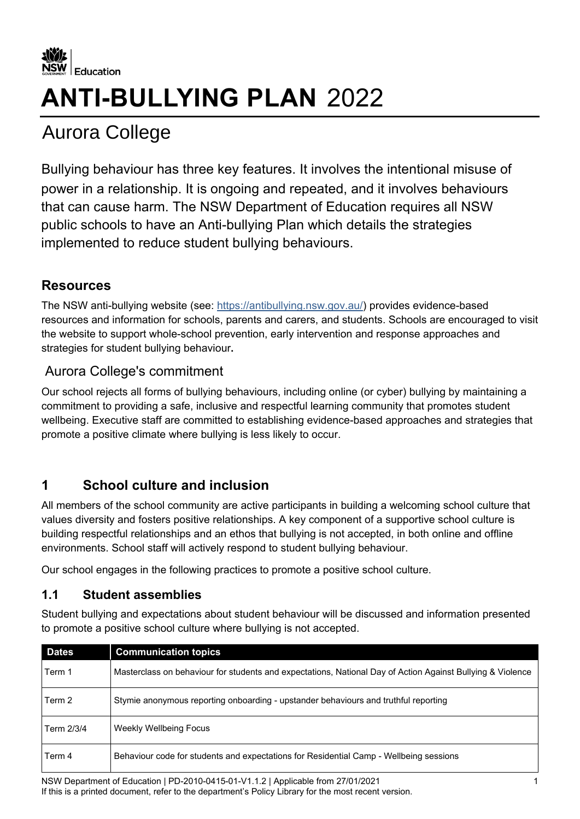

# **ANTI-BULLYING PLAN**  2022

# Aurora College

Bullying behaviour has three key features. It involves the intentional misuse of power in a relationship. It is ongoing and repeated, and it involves behaviours that can cause harm. The NSW Department of Education requires all NSW public schools to have an Anti-bullying Plan which details the strategies implemented to reduce student bullying behaviours.

#### **Resources**

The NSW anti-bullying website (see: [https://antibullying.nsw.gov.au/\)](https://antibullying.nsw.gov.au/) provides evidence-based resources and information for schools, parents and carers, and students. Schools are encouraged to visit the website to support whole-school prevention, early intervention and response approaches and strategies for student bullying behaviour**.**

#### Aurora College's commitment

Our school rejects all forms of bullying behaviours, including online (or cyber) bullying by maintaining a commitment to providing a safe, inclusive and respectful learning community that promotes student wellbeing. Executive staff are committed to establishing evidence-based approaches and strategies that promote a positive climate where bullying is less likely to occur.

# **1 School culture and inclusion**

All members of the school community are active participants in building a welcoming school culture that values diversity and fosters positive relationships. A key component of a supportive school culture is building respectful relationships and an ethos that bullying is not accepted, in both online and offline environments. School staff will actively respond to student bullying behaviour.

Our school engages in the following practices to promote a positive school culture.

#### **1.1 Student assemblies**

Student bullying and expectations about student behaviour will be discussed and information presented to promote a positive school culture where bullying is not accepted.

| <b>Dates</b> | <b>Communication topics</b>                                                                                |
|--------------|------------------------------------------------------------------------------------------------------------|
| Term 1       | Masterclass on behaviour for students and expectations, National Day of Action Against Bullying & Violence |
| Term 2       | Stymie anonymous reporting onboarding - upstander behaviours and truthful reporting                        |
| Term 2/3/4   | Weekly Wellbeing Focus                                                                                     |
| Term 4       | Behaviour code for students and expectations for Residential Camp - Wellbeing sessions                     |

NSW Department of Education | PD-2010-0415-01-V1.1.2 | Applicable from 27/01/2021 1 If this is a printed document, refer to the department's Policy Library for the most recent version.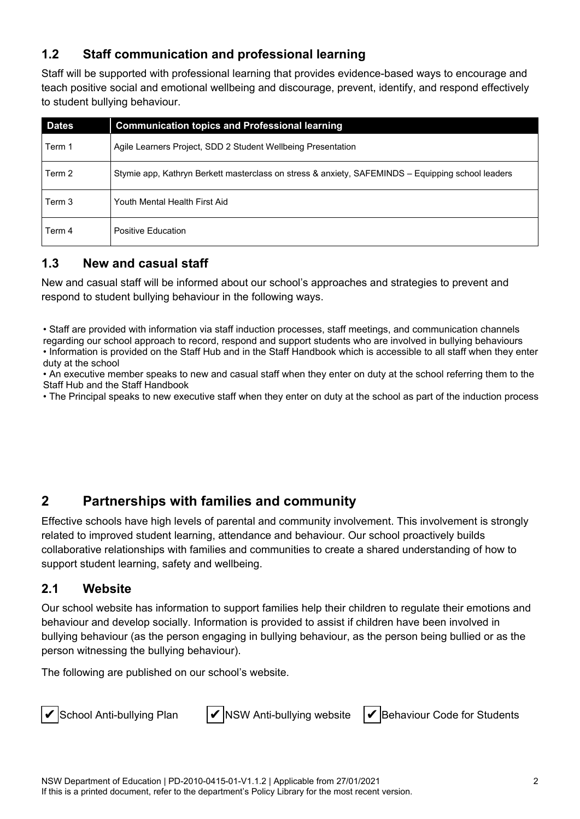#### **1.2 Staff communication and professional learning**

Staff will be supported with professional learning that provides evidence-based ways to encourage and teach positive social and emotional wellbeing and discourage, prevent, identify, and respond effectively to student bullying behaviour.

| <b>Dates</b> | <b>Communication topics and Professional learning</b>                                             |
|--------------|---------------------------------------------------------------------------------------------------|
| Term 1       | Agile Learners Project, SDD 2 Student Wellbeing Presentation                                      |
| Term 2       | Stymie app, Kathryn Berkett masterclass on stress & anxiety, SAFEMINDS - Equipping school leaders |
| Term 3       | Youth Mental Health First Aid                                                                     |
| Term 4       | <b>Positive Education</b>                                                                         |

#### **1.3 New and casual staff**

New and casual staff will be informed about our school's approaches and strategies to prevent and respond to student bullying behaviour in the following ways.

• Staff are provided with information via staff induction processes, staff meetings, and communication channels regarding our school approach to record, respond and support students who are involved in bullying behaviours

• Information is provided on the Staff Hub and in the Staff Handbook which is accessible to all staff when they enter duty at the school

• An executive member speaks to new and casual staff when they enter on duty at the school referring them to the Staff Hub and the Staff Handbook

• The Principal speaks to new executive staff when they enter on duty at the school as part of the induction process

# **2 Partnerships with families and community**

Effective schools have high levels of parental and community involvement. This involvement is strongly related to improved student learning, attendance and behaviour. Our school proactively builds collaborative relationships with families and communities to create a shared understanding of how to support student learning, safety and wellbeing.

#### **2.1 Website**

Our school website has information to support families help their children to regulate their emotions and behaviour and develop socially. Information is provided to assist if children have been involved in bullying behaviour (as the person engaging in bullying behaviour, as the person being bullied or as the person witnessing the bullying behaviour).

The following are published on our school's website.